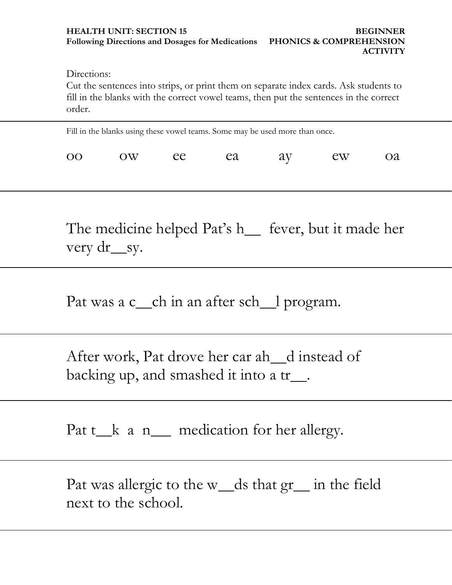Directions:

Cut the sentences into strips, or print them on separate index cards. Ask students to fill in the blanks with the correct vowel teams, then put the sentences in the correct order.

Fill in the blanks using these vowel teams. Some may be used more than once.

|  |  | oo ow ee ea ay ew oa |  |
|--|--|----------------------|--|
|  |  |                      |  |

The medicine helped Pat's h<sub>r</sub> fever, but it made her very dr<sub>sy</sub>.

Pat was a c\_ch in an after sch\_l program.

After work, Pat drove her car ah d instead of backing up, and smashed it into a tr\_.

Pat  $t_k$  a n medication for her allergy.

Pat was allergic to the  $w_d$  ds that  $gr_i$  in the field next to the school.